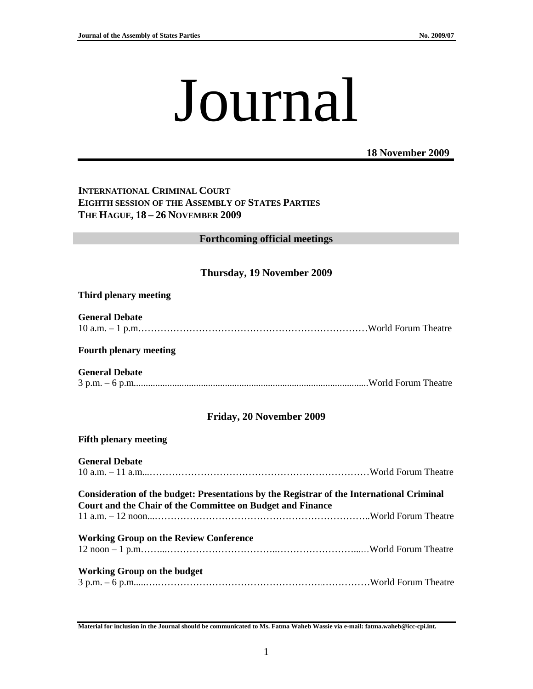# Journal

#### **18 November 2009**

## **INTERNATIONAL CRIMINAL COURT EIGHTH SESSION OF THE ASSEMBLY OF STATES PARTIES THE HAGUE, 18 – 26 NOVEMBER 2009**

# **Forthcoming official meetings**

# **Thursday, 19 November 2009**

#### **Third plenary meeting**

**General Debate**  10 a.m. – 1 p.m………………………………………………………………World Forum Theatre

#### **Fourth plenary meeting**

**General Debate**  3 p.m. – 6 p.m..................................................................................................World Forum Theatre

# **Friday, 20 November 2009**

#### **Fifth plenary meeting**

| <b>General Debate</b>                                                                     |  |
|-------------------------------------------------------------------------------------------|--|
|                                                                                           |  |
| Consideration of the budget: Presentations by the Registrar of the International Criminal |  |
| Court and the Chair of the Committee on Budget and Finance                                |  |
|                                                                                           |  |
| <b>Working Group on the Review Conference</b>                                             |  |
|                                                                                           |  |
| <b>Working Group on the budget</b>                                                        |  |
|                                                                                           |  |

**Material for inclusion in the Journal should be communicated to Ms. Fatma Waheb Wassie via e-mail: fatma.waheb@icc-cpi.int.**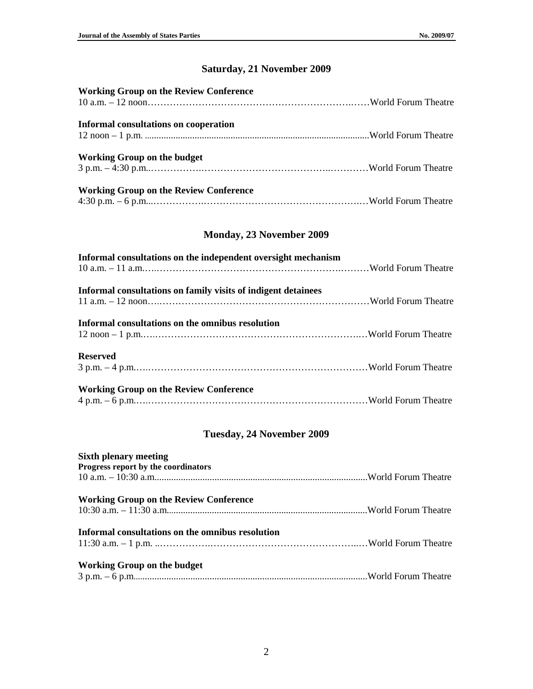# **Saturday, 21 November 2009**

| <b>Working Group on the Review Conference</b> |  |
|-----------------------------------------------|--|
| <b>Informal consultations on cooperation</b>  |  |
|                                               |  |
| <b>Working Group on the budget</b>            |  |
|                                               |  |
| <b>Working Group on the Review Conference</b> |  |
|                                               |  |

# **Monday, 23 November 2009**

| Informal consultations on the independent oversight mechanism |  |
|---------------------------------------------------------------|--|
| Informal consultations on family visits of indigent detainees |  |
| Informal consultations on the omnibus resolution              |  |
| <b>Reserved</b>                                               |  |
| <b>Working Group on the Review Conference</b>                 |  |

# **Tuesday, 24 November 2009**

| <b>Sixth plenary meeting</b>                     |  |
|--------------------------------------------------|--|
| Progress report by the coordinators              |  |
|                                                  |  |
| <b>Working Group on the Review Conference</b>    |  |
|                                                  |  |
| Informal consultations on the omnibus resolution |  |
|                                                  |  |
| Working Group on the budget                      |  |
|                                                  |  |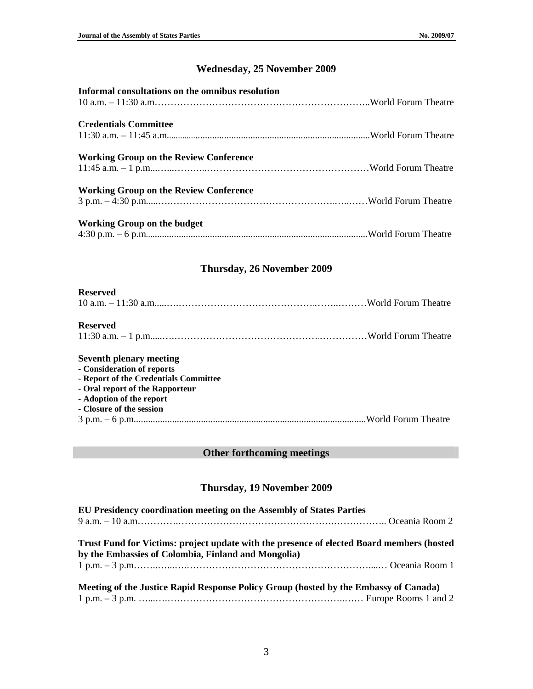# **Wednesday, 25 November 2009**

| Informal consultations on the omnibus resolution |  |
|--------------------------------------------------|--|
| <b>Credentials Committee</b>                     |  |
| <b>Working Group on the Review Conference</b>    |  |
| <b>Working Group on the Review Conference</b>    |  |
| Working Group on the budget                      |  |

## **Thursday, 26 November 2009**

#### **Reserved**

| TIMA I LA |  |
|-----------|--|
|           |  |

#### **Reserved**

|--|--|--|

#### **Seventh plenary meeting**

**- Consideration of reports** 

- **Report of the Credentials Committee**
- **Oral report of the Rapporteur**
- **Adoption of the report**
- **Closure of the session**

```
3 p.m. – 6 p.m.................................................................................................World Forum Theatre
```
## **Other forthcoming meetings**

#### **Thursday, 19 November 2009**

| EU Presidency coordination meeting on the Assembly of States Parties                                                                             |  |
|--------------------------------------------------------------------------------------------------------------------------------------------------|--|
|                                                                                                                                                  |  |
| Trust Fund for Victims: project update with the presence of elected Board members (hosted<br>by the Embassies of Colombia, Finland and Mongolia) |  |
|                                                                                                                                                  |  |
| Meeting of the Justice Rapid Response Policy Group (hosted by the Embassy of Canada)                                                             |  |
|                                                                                                                                                  |  |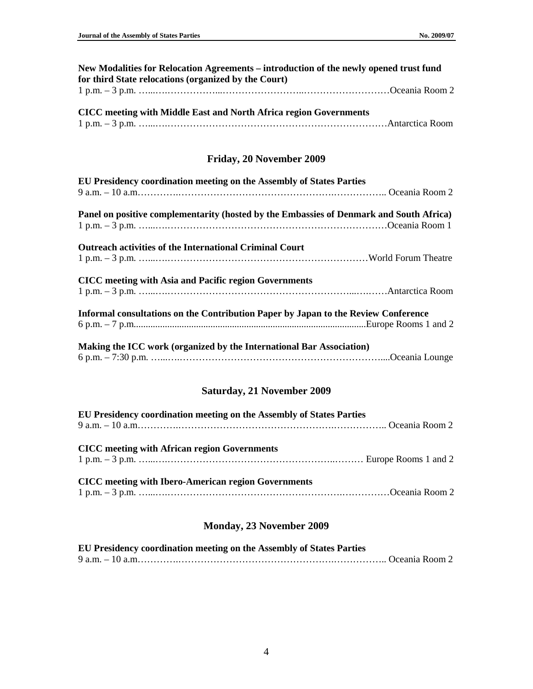| New Modalities for Relocation Agreements – introduction of the newly opened trust fund |  |
|----------------------------------------------------------------------------------------|--|
| for third State relocations (organized by the Court)                                   |  |
|                                                                                        |  |

| <b>CICC</b> meeting with Middle East and North Africa region Governments |  |
|--------------------------------------------------------------------------|--|
|                                                                          |  |

# **Friday, 20 November 2009**

| EU Presidency coordination meeting on the Assembly of States Parties                    |  |
|-----------------------------------------------------------------------------------------|--|
|                                                                                         |  |
| Panel on positive complementarity (hosted by the Embassies of Denmark and South Africa) |  |
|                                                                                         |  |
| <b>Outreach activities of the International Criminal Court</b>                          |  |
|                                                                                         |  |
| <b>CICC</b> meeting with Asia and Pacific region Governments                            |  |
|                                                                                         |  |
| Informal consultations on the Contribution Paper by Japan to the Review Conference      |  |
|                                                                                         |  |
| Making the ICC work (organized by the International Bar Association)                    |  |
|                                                                                         |  |

# **Saturday, 21 November 2009**

| EU Presidency coordination meeting on the Assembly of States Parties |  |  |
|----------------------------------------------------------------------|--|--|
|                                                                      |  |  |
| <b>CICC</b> meeting with African region Governments                  |  |  |
| <b>CICC</b> meeting with Ibero-American region Governments           |  |  |

## **Monday, 23 November 2009**

| EU Presidency coordination meeting on the Assembly of States Parties |  |
|----------------------------------------------------------------------|--|
|                                                                      |  |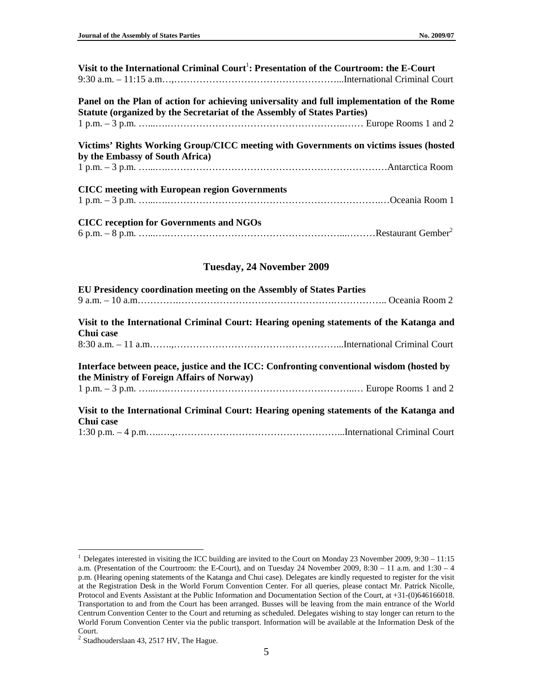| Visit to the International Criminal Court <sup>1</sup> : Presentation of the Courtroom: the E-Court                                                                    |  |
|------------------------------------------------------------------------------------------------------------------------------------------------------------------------|--|
| Panel on the Plan of action for achieving universality and full implementation of the Rome<br>Statute (organized by the Secretariat of the Assembly of States Parties) |  |
|                                                                                                                                                                        |  |
| Victims' Rights Working Group/CICC meeting with Governments on victims issues (hosted<br>by the Embassy of South Africa)                                               |  |
| <b>CICC</b> meeting with European region Governments                                                                                                                   |  |
| <b>CICC</b> reception for Governments and NGOs                                                                                                                         |  |

#### **Tuesday, 24 November 2009**

| EU Presidency coordination meeting on the Assembly of States Parties                                                                   |  |
|----------------------------------------------------------------------------------------------------------------------------------------|--|
|                                                                                                                                        |  |
| Visit to the International Criminal Court: Hearing opening statements of the Katanga and                                               |  |
| Chui case                                                                                                                              |  |
|                                                                                                                                        |  |
| Interface between peace, justice and the ICC: Confronting conventional wisdom (hosted by<br>the Ministry of Foreign Affairs of Norway) |  |
|                                                                                                                                        |  |
| Visit to the International Criminal Court: Hearing opening statements of the Katanga and                                               |  |
| Chui case                                                                                                                              |  |
|                                                                                                                                        |  |

 $\overline{a}$  $1$  Delegates interested in visiting the ICC building are invited to the Court on Monday 23 November 2009, 9:30 – 11:15 a.m. (Presentation of the Courtroom: the E-Court), and on Tuesday 24 November 2009, 8:30 – 11 a.m. and 1:30 – 4 p.m. (Hearing opening statements of the Katanga and Chui case). Delegates are kindly requested to register for the visit at the Registration Desk in the World Forum Convention Center. For all queries, please contact Mr. Patrick Nicolle, Protocol and Events Assistant at the Public Information and Documentation Section of the Court, at +31-(0)646166018. Transportation to and from the Court has been arranged. Busses will be leaving from the main entrance of the World Centrum Convention Center to the Court and returning as scheduled. Delegates wishing to stay longer can return to the World Forum Convention Center via the public transport. Information will be available at the Information Desk of the Court.

 $<sup>2</sup>$  Stadhouderslaan 43, 2517 HV, The Hague.</sup>